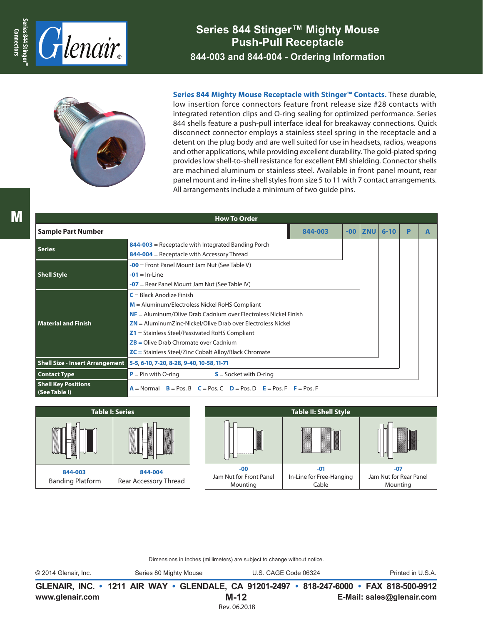

**Series 844 Stinger™ Mighty Mouse Push-Pull Receptacle 844-003 and 844-004 - Ordering Information**



**Series 844 Mighty Mouse Receptacle with Stinger™ Contacts.** These durable, low insertion force connectors feature front release size #28 contacts with integrated retention clips and O-ring sealing for optimized performance. Series 844 shells feature a push-pull interface ideal for breakaway connections. Quick disconnect connector employs a stainless steel spring in the receptacle and a detent on the plug body and are well suited for use in headsets, radios, weapons and other applications, while providing excellent durability. The gold-plated spring provides low shell-to-shell resistance for excellent EMI shielding. Connector shells are machined aluminum or stainless steel. Available in front panel mount, rear panel mount and in-line shell styles from size 5 to 11 with 7 contact arrangements. All arrangements include a minimum of two guide pins.

| <b>How To Order</b>                         |                                                                                                                                                                                                                                                   |                                                                                                                                     |            |          |   |  |  |  |  |  |  |  |  |
|---------------------------------------------|---------------------------------------------------------------------------------------------------------------------------------------------------------------------------------------------------------------------------------------------------|-------------------------------------------------------------------------------------------------------------------------------------|------------|----------|---|--|--|--|--|--|--|--|--|
| <b>Sample Part Number</b>                   | 844-003                                                                                                                                                                                                                                           | $-00$                                                                                                                               | <b>ZNU</b> | $6 - 10$ | P |  |  |  |  |  |  |  |  |
| <b>Series</b>                               | 844-003 = Receptacle with Integrated Banding Porch<br>844-004 = Receptacle with Accessory Thread                                                                                                                                                  |                                                                                                                                     |            |          |   |  |  |  |  |  |  |  |  |
| <b>Shell Style</b>                          | $-00$ = Front Panel Mount Jam Nut (See Table V)<br>$-01 = ln$ -Line<br>$-07$ = Rear Panel Mount Jam Nut (See Table IV)                                                                                                                            |                                                                                                                                     |            |          |   |  |  |  |  |  |  |  |  |
| <b>Material and Finish</b>                  | $C = Black$ Anodize Finish<br>$M =$ Aluminum/Electroless Nickel RoHS Compliant<br>$Z1$ = Stainless Steel/Passivated RoHS Compliant<br>$ZB =$ Olive Drab Chromate over Cadnium<br>$\mathsf{ZC}$ = Stainless Steel/Zinc Cobalt Alloy/Black Chromate | $NF =$ Aluminum/Olive Drab Cadnium over Electroless Nickel Finish<br>$ZN =$ Aluminum Zinc-Nickel/Olive Drab over Electroless Nickel |            |          |   |  |  |  |  |  |  |  |  |
| <b>Shell Size - Insert Arrangement</b>      | 5-5, 6-10, 7-20, 8-28, 9-40, 10-58, 11-71                                                                                                                                                                                                         |                                                                                                                                     |            |          |   |  |  |  |  |  |  |  |  |
| <b>Contact Type</b>                         | $P = Pin$ with O-ring<br>$S =$ Socket with O-ring                                                                                                                                                                                                 |                                                                                                                                     |            |          |   |  |  |  |  |  |  |  |  |
| <b>Shell Key Positions</b><br>(See Table I) | $A = Normal$ $B = Pos$ , $B = Pos$ , $C = Pos$ , $D = Pos$ , $D = Pos$ , $F = Pos$ , $F = Pos$ , $F = Pos$                                                                                                                                        |                                                                                                                                     |            |          |   |  |  |  |  |  |  |  |  |



Dimensions in Inches (millimeters) are subject to change without notice.

© 2014 Glenair, Inc. Series 80 Mighty Mouse U.S. CAGE Code 06324 Printed in U.S.A.

**www.glenair.com E-Mail: sales@glenair.com GLENAIR, INC. • 1211 AIR WAY • GLENDALE, CA 91201-2497 • 818-247-6000 • FAX 818-500-9912 M-12** Rev. 06.20.18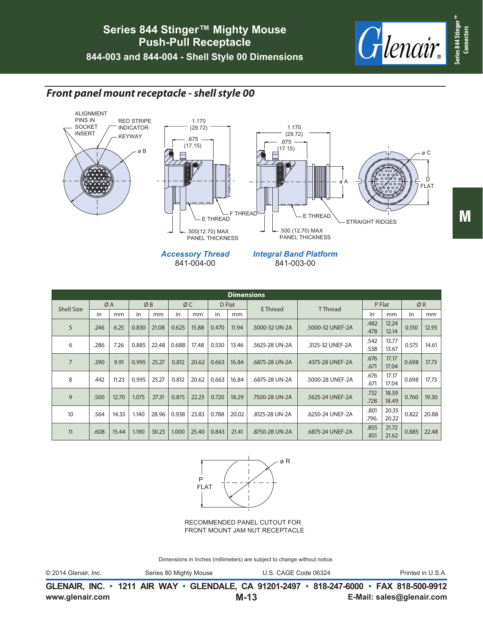

### *Front panel mount receptacle - shell style 00*



| <b>Dimensions</b> |      |       |       |       |       |       |       |        |                |                  |               |                |       |       |
|-------------------|------|-------|-------|-------|-------|-------|-------|--------|----------------|------------------|---------------|----------------|-------|-------|
| <b>Shell Size</b> |      | ØA    |       | ØB    |       | ØC    |       | D Flat | E Thread       | <b>TThread</b>   | P Flat        |                | ØR    |       |
|                   | in   | mm    | in    | mm    | in    | mm    | in    | mm     |                |                  | in            | mm             | in    | mm    |
| 5                 | .246 | 6.25  | 0.830 | 21.08 | 0.625 | 15.88 | 0.470 | 11.94  | .5000-32 UN-2A | .5000-32 UNEF-2A | .482<br>.478  | 12.24<br>12.14 | 0.510 | 12.95 |
| 6                 | .286 | 7.26  | 0.885 | 22.48 | 0.688 | 17.48 | 0.530 | 13.46  | .5625-28 UN-2A | .3125-32 UNEF-2A | .542<br>.538  | 13.77<br>13.67 | 0.575 | 14.61 |
| $\overline{7}$    | .390 | 9.91  | 0.995 | 25.27 | 0.812 | 20.62 | 0.663 | 16.84  | .6875-28 UN-2A | .4375-28 UNEF-2A | .676<br>.671  | 17.17<br>17.04 | 0.698 | 17.73 |
| 8                 | .442 | 11.23 | 0.995 | 25.27 | 0.812 | 20.62 | 0.663 | 16.84  | .6875-28 UN-2A | .5000-28 UNEF-2A | .676<br>.671  | 17.17<br>17.04 | 0.698 | 17.73 |
| 9                 | .500 | 12.70 | 1.075 | 27.31 | 0.875 | 22.23 | 0.720 | 18.29  | .7500-28 UN-2A | .5625-24 UNEF-2A | .732<br>.728  | 18.59<br>18.49 | 0.760 | 19.30 |
| 10                | .564 | 14.33 | 1.140 | 28.96 | 0.938 | 23.83 | 0.788 | 20.02  | .8125-28 UN-2A | .6250-24 UNEF-2A | .801<br>.796. | 20.35<br>20.22 | 0.822 | 20.88 |
| 11                | .608 | 15.44 | 1.190 | 30.23 | 1.000 | 25.40 | 0.843 | 21.41  | .8750-28 UN-2A | .6875-24 UNEF-2A | .855<br>.851  | 21.72<br>21.62 | 0.885 | 22.48 |



RECOMMENDED PANEL CUTOUT FOR FRONT MOUNT JAM NUT RECEPTACLE

Dimensions in Inches (millimeters) are subject to change without notice.

**www.glenair.com E-Mail: sales@glenair.com GLENAIR, INC. • 1211 AIR WAY • GLENDALE, CA 91201-2497 • 818-247-6000 • FAX 818-500-9912 M-13**

**Connectors**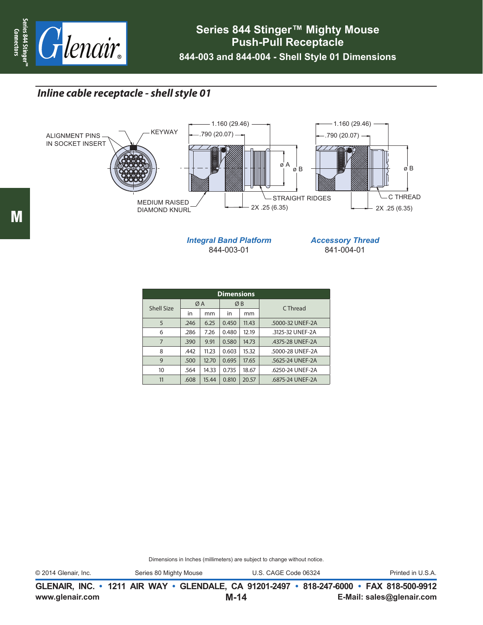

# *Inline cable receptacle - shell style 01*



*Integral Band Platform* 844-003-01

*Accessory Thread* 841-004-01

| <b>Dimensions</b> |               |       |                |       |                  |  |  |  |  |  |  |  |  |
|-------------------|---------------|-------|----------------|-------|------------------|--|--|--|--|--|--|--|--|
| <b>Shell Size</b> |               | ØΑ    | ØB             |       | C Thread         |  |  |  |  |  |  |  |  |
|                   | in            | mm    | in             | mm    |                  |  |  |  |  |  |  |  |  |
| 5                 | .246          | 6.25  | 0.450          | 11.43 | .5000-32 UNEF-2A |  |  |  |  |  |  |  |  |
| 6                 | .286<br>7.26  |       | 0.480          | 12.19 | .3125-32 UNEF-2A |  |  |  |  |  |  |  |  |
| 7                 | .390<br>9.91  |       | 0.580          | 14.73 | .4375-28 UNEF-2A |  |  |  |  |  |  |  |  |
| 8                 | 11.23<br>.442 |       | 0.603          | 15.32 | .5000-28 UNEF-2A |  |  |  |  |  |  |  |  |
| 9                 | 12.70<br>.500 |       | 0.695          | 17.65 | .5625-24 UNEF-2A |  |  |  |  |  |  |  |  |
| 10                | 14.33<br>.564 |       | 0.735<br>18.67 |       | .6250-24 UNEF-2A |  |  |  |  |  |  |  |  |
| 11                | .608          | 15.44 | 0.810          | 20.57 | .6875-24 UNEF-2A |  |  |  |  |  |  |  |  |

Dimensions in Inches (millimeters) are subject to change without notice.

© 2014 Glenair, Inc. Series 80 Mighty Mouse U.S. CAGE Code 06324 Printed in U.S.A.

**www.glenair.com E-Mail: sales@glenair.com GLENAIR, INC. • 1211 AIR WAY • GLENDALE, CA 91201-2497 • 818-247-6000 • FAX 818-500-9912 M-14**